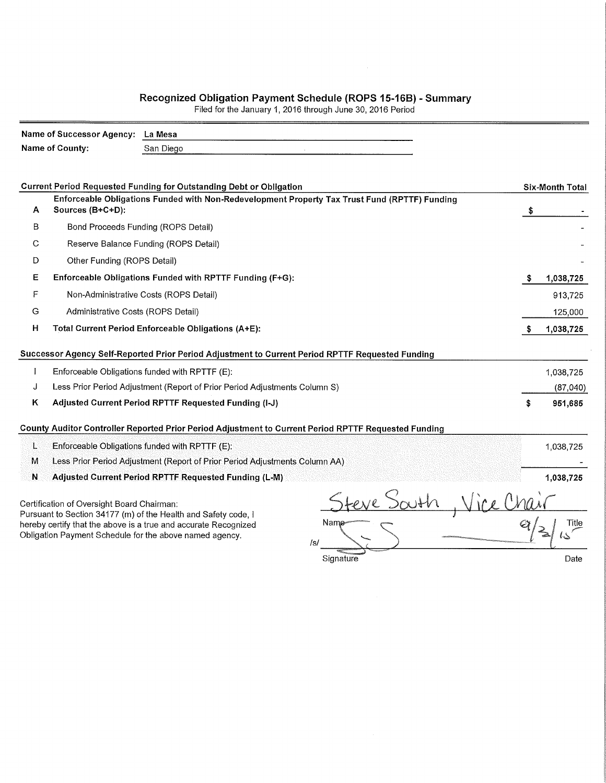## Recognized Obligation Payment Schedule (ROPS 15-16B) - Summary<br>Filed for the January 1, 2016 through June 30, 2016 Period

|   | Name of County:                                       | San Diego                                                                                                                                                                                    |                                                                                                      |   |                        |  |  |  |
|---|-------------------------------------------------------|----------------------------------------------------------------------------------------------------------------------------------------------------------------------------------------------|------------------------------------------------------------------------------------------------------|---|------------------------|--|--|--|
|   |                                                       |                                                                                                                                                                                              |                                                                                                      |   |                        |  |  |  |
|   |                                                       |                                                                                                                                                                                              |                                                                                                      |   |                        |  |  |  |
|   |                                                       | <b>Current Period Requested Funding for Outstanding Debt or Obligation</b>                                                                                                                   |                                                                                                      |   | <b>Six-Month Total</b> |  |  |  |
| A | Sources (B+C+D):                                      |                                                                                                                                                                                              | Enforceable Obligations Funded with Non-Redevelopment Property Tax Trust Fund (RPTTF) Funding        |   |                        |  |  |  |
| B |                                                       | Bond Proceeds Funding (ROPS Detail)                                                                                                                                                          |                                                                                                      |   |                        |  |  |  |
| С |                                                       | Reserve Balance Funding (ROPS Detail)                                                                                                                                                        |                                                                                                      |   |                        |  |  |  |
| D | Other Funding (ROPS Detail)                           |                                                                                                                                                                                              |                                                                                                      |   |                        |  |  |  |
| Е |                                                       | Enforceable Obligations Funded with RPTTF Funding (F+G):                                                                                                                                     |                                                                                                      | S | 1,038,725              |  |  |  |
| F |                                                       | Non-Administrative Costs (ROPS Detail)                                                                                                                                                       |                                                                                                      |   | 913,725                |  |  |  |
| G | Administrative Costs (ROPS Detail)                    |                                                                                                                                                                                              |                                                                                                      |   |                        |  |  |  |
| н | Total Current Period Enforceable Obligations (A+E):   |                                                                                                                                                                                              |                                                                                                      |   |                        |  |  |  |
|   |                                                       |                                                                                                                                                                                              | Successor Agency Self-Reported Prior Period Adjustment to Current Period RPTTF Requested Funding     |   |                        |  |  |  |
|   |                                                       | Enforceable Obligations funded with RPTTF (E):                                                                                                                                               |                                                                                                      |   | 1,038,725              |  |  |  |
| J |                                                       | Less Prior Period Adjustment (Report of Prior Period Adjustments Column S)                                                                                                                   |                                                                                                      |   | (87,040)               |  |  |  |
| Κ | Adjusted Current Period RPTTF Requested Funding (I-J) |                                                                                                                                                                                              |                                                                                                      |   |                        |  |  |  |
|   |                                                       |                                                                                                                                                                                              | County Auditor Controller Reported Prior Period Adjustment to Current Period RPTTF Requested Funding |   |                        |  |  |  |
| L |                                                       | Enforceable Obligations funded with RPTTF (E):                                                                                                                                               |                                                                                                      |   | 1,038,725              |  |  |  |
| М |                                                       | Less Prior Period Adjustment (Report of Prior Period Adjustments Column AA)                                                                                                                  |                                                                                                      |   |                        |  |  |  |
| Ν |                                                       | Adjusted Current Period RPTTF Requested Funding (L-M)                                                                                                                                        |                                                                                                      |   | 1,038,725              |  |  |  |
|   | Certification of Oversight Board Chairman:            | Pursuant to Section 34177 (m) of the Health and Safety code, I<br>hereby certify that the above is a true and accurate Recognized<br>Obligation Payment Schedule for the above named agency. | Nam∉                                                                                                 |   | Title                  |  |  |  |
|   |                                                       |                                                                                                                                                                                              | /s/<br>Signature                                                                                     |   | Date                   |  |  |  |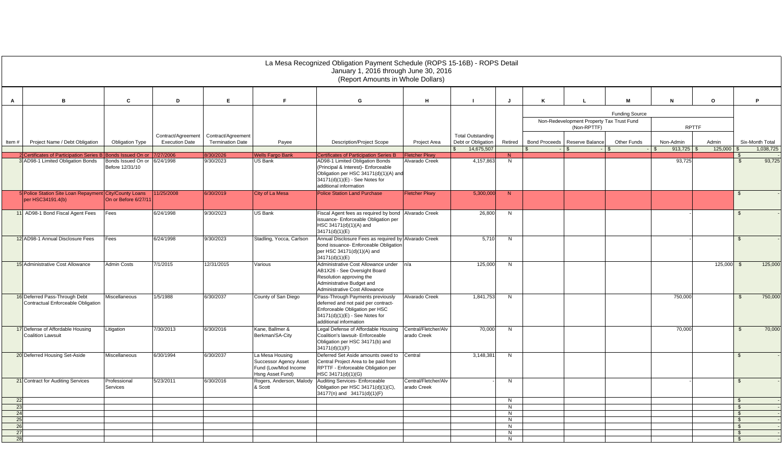|          |                                                                               |                                                                       |                                             |                                               |                                                                                              | La Mesa Recognized Obligation Payment Schedule (ROPS 15-16B) - ROPS Detail<br>January 1, 2016 through June 30, 2016<br>(Report Amounts in Whole Dollars)                                                                     |                                     |                                                              |                     |   |                                               |                              |                      |                  |                      |                              |
|----------|-------------------------------------------------------------------------------|-----------------------------------------------------------------------|---------------------------------------------|-----------------------------------------------|----------------------------------------------------------------------------------------------|------------------------------------------------------------------------------------------------------------------------------------------------------------------------------------------------------------------------------|-------------------------------------|--------------------------------------------------------------|---------------------|---|-----------------------------------------------|------------------------------|----------------------|------------------|----------------------|------------------------------|
| A        | B                                                                             | C                                                                     | D                                           | E.                                            | F.                                                                                           | G                                                                                                                                                                                                                            | н                                   | - 1                                                          | J                   | K |                                               | м                            | N                    | $\circ$          |                      | P                            |
|          |                                                                               |                                                                       |                                             |                                               |                                                                                              | <b>Funding Source</b><br>Non-Redevelopment Property Tax Trust Fund<br><b>RPTTF</b><br>(Non-RPTTF)                                                                                                                            |                                     |                                                              |                     |   |                                               |                              |                      |                  |                      |                              |
| Item#    | Project Name / Debt Obligation                                                | Obligation Type                                                       | Contract/Agreement<br><b>Execution Date</b> | Contract/Agreement<br><b>Termination Date</b> | Payee                                                                                        | <b>Description/Project Scope</b>                                                                                                                                                                                             | Project Area                        | <b>Total Outstanding</b><br>Debt or Obligation<br>14,675,507 | Retired             |   | Bond Proceeds   Reserve Balance<br>$\sqrt{ }$ | Other Funds<br>$\mathcal{R}$ | Non-Admin<br>913,725 | Admin<br>125,000 |                      | Six-Month Total<br>1,038,725 |
|          |                                                                               |                                                                       |                                             |                                               |                                                                                              |                                                                                                                                                                                                                              |                                     |                                                              |                     |   |                                               |                              |                      |                  |                      |                              |
|          | 2 Certificates of Participation Series E<br>3 AD98-1 Limited Obligation Bonds | Bonds Issued On or<br>Bonds Issued On or 6/24/1998<br>Before 12/31/10 | 7/27/2006                                   | 30/2026<br>9/30/2023                          | <b>Wells Fargo Bank</b><br>US Bank                                                           | <b>Certificates of Participation Series B</b><br>AD98-1 Limited Obligation Bonds<br>(Principal & Interest)- Enforceable<br>Obligation per HSC 34171(d)(1)(A) and<br>34171(d)(1)(E) - See Notes for<br>additional information | Fletcher Pkwy<br>Alvarado Creek     | 4,157,863                                                    | N <sub>1</sub><br>N |   |                                               |                              | 93,725               |                  | \$                   | 93,725                       |
|          | 5 Police Station Site Loan Repayment City/County Loans<br>per HSC34191.4(b)   | On or Before 6/27/11                                                  | 11/25/2008                                  | 6/30/2019                                     | City of La Mesa                                                                              | <b>Police Station Land Purchase</b>                                                                                                                                                                                          | <b>Fletcher Pkwy</b>                | 5,300,000                                                    | $\overline{N}$      |   |                                               |                              |                      |                  | - \$                 |                              |
|          | 11 AD98-1 Bond Fiscal Agent Fees                                              | Fees                                                                  | 6/24/1998                                   | 9/30/2023                                     | <b>US Bank</b>                                                                               | Fiscal Agent fees as required by bond<br>issuance- Enforceable Obligation per<br>HSC 34171(d)(1)(A) and<br>34171(d)(1)(E)                                                                                                    | Alvarado Creek                      | 26,800                                                       | N                   |   |                                               |                              |                      |                  | \$.                  |                              |
|          | 12 AD98-1 Annual Disclosure Fees                                              | Fees                                                                  | 6/24/1998                                   | 9/30/2023                                     | Stadling, Yocca, Carlson                                                                     | Annual Disclosure Fees as required by Alvarado Creek<br>bond issuance- Enforceable Obligation<br>per HSC 34171(d)(1)(A) and<br>34171(d)(1)(E)                                                                                |                                     | 5,710                                                        | N                   |   |                                               |                              |                      |                  |                      |                              |
|          | 15 Administrative Cost Allowance                                              | <b>Admin Costs</b>                                                    | 7/1/2015                                    | 12/31/2015                                    | Various                                                                                      | Administrative Cost Allowance under<br>AB1X26 - See Oversight Board<br>Resolution approving the<br>Administrative Budget and<br>Administrative Cost Allowance                                                                | n/a                                 | 125,000                                                      | N                   |   |                                               |                              |                      | 125,000          | $\mathfrak{L}$       | 125,000                      |
|          | 16 Deferred Pass-Through Debt<br>Contractual Enforceable Obligation           | Miscellaneous                                                         | 1/5/1988                                    | 6/30/2037                                     | County of San Diego                                                                          | Pass-Through Payments previously<br>deferred and not paid per contract-<br>Enforceable Obligation per HSC<br>34171(d)(1)(E) - See Notes for<br>additional information                                                        | Alvarado Creek                      | 1,841,753                                                    | N                   |   |                                               |                              | 750,000              |                  | $\mathfrak{L}$       | 750,000                      |
|          | 17 Defense of Affordable Housing<br><b>Coalition Lawsuit</b>                  | Litigation                                                            | 7/30/2013                                   | 6/30/2016                                     | Kane, Ballmer &<br>Berkman/SA-City                                                           | Legal Defense of Affordable Housing<br>Coalition's lawsuit- Enforceable<br>Obligation per HSC 34171(b) and<br>34171(d)(1)(F)                                                                                                 | Central/Fletcher/Alv<br>arado Creek | 70,000                                                       | N                   |   |                                               |                              | 70,000               |                  | $\mathfrak{S}$       | 70,000                       |
|          | 20 Deferred Housing Set-Aside                                                 | Miscellaneous                                                         | 6/30/1994                                   | 6/30/2037                                     | La Mesa Housing<br><b>Successor Agency Asset</b><br>Fund (Low/Mod Income<br>Hsng Asset Fund) | Deferred Set Aside amounts owed to<br>Central Project Area to be paid from<br>RPTTF - Enforceable Obligation per<br>HSC 34171(d)(1)(G)                                                                                       | Central                             | 3,148,381                                                    | N                   |   |                                               |                              |                      |                  | $\mathfrak{L}$       |                              |
|          | 21 Contract for Auditing Services                                             | Professional<br>Services                                              | 5/23/2011                                   | 6/30/2016                                     | Rogers, Anderson, Malody<br>& Scott                                                          | Auditing Services- Enforceable<br>Obligation per HSC 34171(d)(1)(C),<br>34177(n) and 34171(d)(1)(F)                                                                                                                          | Central/Fletcher/Alv<br>arado Creek |                                                              | N                   |   |                                               |                              |                      |                  | \$.                  |                              |
| 22       |                                                                               |                                                                       |                                             |                                               |                                                                                              |                                                                                                                                                                                                                              |                                     |                                                              | N                   |   |                                               |                              |                      |                  | $\mathbb{S}$         |                              |
| 23       |                                                                               |                                                                       |                                             |                                               |                                                                                              |                                                                                                                                                                                                                              |                                     |                                                              | $\overline{N}$      |   |                                               |                              |                      |                  | $\mathfrak{S}$       |                              |
| 24       |                                                                               |                                                                       |                                             |                                               |                                                                                              |                                                                                                                                                                                                                              |                                     |                                                              | N                   |   |                                               |                              |                      |                  | $\mathfrak{L}$       |                              |
| 25<br>26 |                                                                               |                                                                       |                                             |                                               |                                                                                              |                                                                                                                                                                                                                              |                                     |                                                              | N<br>N              |   |                                               |                              |                      |                  | $\mathbf{s}$         |                              |
| 27       |                                                                               |                                                                       |                                             |                                               |                                                                                              |                                                                                                                                                                                                                              |                                     |                                                              | N                   |   |                                               |                              |                      |                  | \$<br>$\mathfrak{S}$ |                              |
| 28       |                                                                               |                                                                       |                                             |                                               |                                                                                              |                                                                                                                                                                                                                              |                                     |                                                              | N                   |   |                                               |                              |                      |                  | - \$                 |                              |
|          |                                                                               |                                                                       |                                             |                                               |                                                                                              |                                                                                                                                                                                                                              |                                     |                                                              |                     |   |                                               |                              |                      |                  |                      |                              |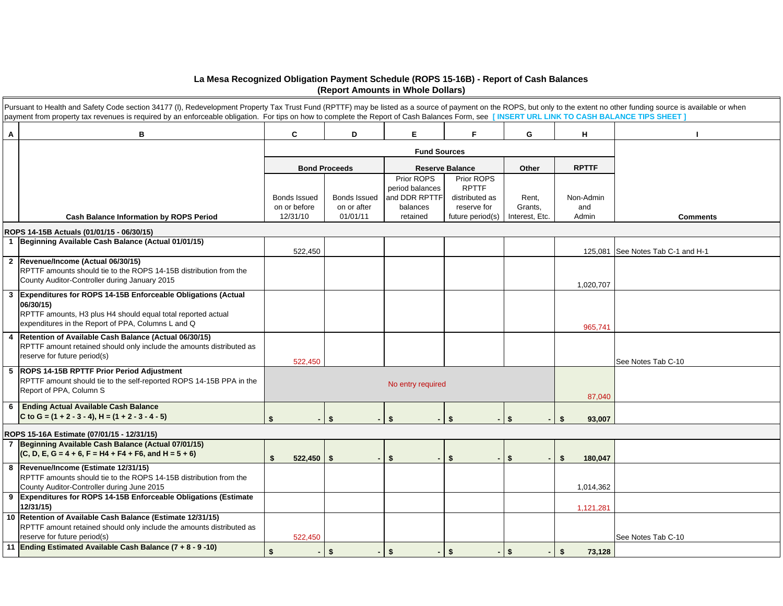## **La Mesa Recognized Obligation Payment Schedule (ROPS 15-16B) - Report of Cash Balances (Report Amounts in Whole Dollars)**

|                | Pursuant to Health and Safety Code section 34177 (I), Redevelopment Property Tax Trust Fund (RPTTF) may be listed as a source of payment on the ROPS, but only to the extent no other funding source is available or when<br>payment from property tax revenues is required by an enforceable obligation. For tips on how to complete the Report of Cash Balances Form, see [INSERT URL LINK TO CASH BALANCE TIPS SHEET] |                                          |                                         |                                                                        |                                                                                 |                                    |                           |                                   |
|----------------|--------------------------------------------------------------------------------------------------------------------------------------------------------------------------------------------------------------------------------------------------------------------------------------------------------------------------------------------------------------------------------------------------------------------------|------------------------------------------|-----------------------------------------|------------------------------------------------------------------------|---------------------------------------------------------------------------------|------------------------------------|---------------------------|-----------------------------------|
| Α              | в                                                                                                                                                                                                                                                                                                                                                                                                                        | C                                        | D                                       | Е.                                                                     | F.                                                                              | G                                  | н                         |                                   |
|                |                                                                                                                                                                                                                                                                                                                                                                                                                          |                                          |                                         |                                                                        |                                                                                 |                                    |                           |                                   |
|                |                                                                                                                                                                                                                                                                                                                                                                                                                          |                                          | <b>Bond Proceeds</b>                    |                                                                        | <b>Reserve Balance</b>                                                          | Other                              | <b>RPTTF</b>              |                                   |
|                | <b>Cash Balance Information by ROPS Period</b>                                                                                                                                                                                                                                                                                                                                                                           | Bonds Issued<br>on or before<br>12/31/10 | Bonds Issued<br>on or after<br>01/01/11 | Prior ROPS<br>period balances<br>and DDR RPTTF<br>balances<br>retained | Prior ROPS<br><b>RPTTF</b><br>distributed as<br>reserve for<br>future period(s) | Rent,<br>Grants,<br>Interest, Etc. | Non-Admin<br>and<br>Admin | <b>Comments</b>                   |
|                | ROPS 14-15B Actuals (01/01/15 - 06/30/15)                                                                                                                                                                                                                                                                                                                                                                                |                                          |                                         |                                                                        |                                                                                 |                                    |                           |                                   |
|                | 1 Beginning Available Cash Balance (Actual 01/01/15)                                                                                                                                                                                                                                                                                                                                                                     | 522,450                                  |                                         |                                                                        |                                                                                 |                                    |                           | 125,081 See Notes Tab C-1 and H-1 |
|                | 2 Revenue/Income (Actual 06/30/15)<br>RPTTF amounts should tie to the ROPS 14-15B distribution from the<br>County Auditor-Controller during January 2015                                                                                                                                                                                                                                                                 |                                          |                                         |                                                                        |                                                                                 |                                    | 1,020,707                 |                                   |
| $\mathbf{3}$   | Expenditures for ROPS 14-15B Enforceable Obligations (Actual<br>06/30/15)<br>RPTTF amounts, H3 plus H4 should equal total reported actual<br>expenditures in the Report of PPA, Columns L and Q                                                                                                                                                                                                                          |                                          |                                         |                                                                        |                                                                                 |                                    | 965,741                   |                                   |
|                | 4 Retention of Available Cash Balance (Actual 06/30/15)<br>RPTTF amount retained should only include the amounts distributed as<br>reserve for future period(s)                                                                                                                                                                                                                                                          | 522,450                                  |                                         |                                                                        |                                                                                 |                                    |                           | See Notes Tab C-10                |
|                | 5 ROPS 14-15B RPTTF Prior Period Adjustment<br>RPTTF amount should tie to the self-reported ROPS 14-15B PPA in the<br>Report of PPA, Column S                                                                                                                                                                                                                                                                            |                                          |                                         |                                                                        |                                                                                 |                                    |                           |                                   |
|                | 6 Ending Actual Available Cash Balance<br>C to G = $(1 + 2 - 3 - 4)$ , H = $(1 + 2 - 3 - 4 - 5)$                                                                                                                                                                                                                                                                                                                         | \$                                       | \$                                      | \$                                                                     | \$                                                                              | <b>S</b>                           | 87,040<br>\$<br>93,007    |                                   |
|                | ROPS 15-16A Estimate (07/01/15 - 12/31/15)                                                                                                                                                                                                                                                                                                                                                                               |                                          |                                         |                                                                        |                                                                                 |                                    |                           |                                   |
| $\overline{7}$ | Beginning Available Cash Balance (Actual 07/01/15)<br>$(C, D, E, G = 4 + 6, F = H4 + F4 + F6, and H = 5 + 6)$                                                                                                                                                                                                                                                                                                            | 522,450<br>\$                            | \$<br>$\sim$                            | \$                                                                     | \$                                                                              | l \$                               | S.<br>180,047             |                                   |
|                | 8 Revenue/Income (Estimate 12/31/15)<br>RPTTF amounts should tie to the ROPS 14-15B distribution from the<br>County Auditor-Controller during June 2015                                                                                                                                                                                                                                                                  |                                          |                                         |                                                                        |                                                                                 |                                    | 1,014,362                 |                                   |
|                | 9 Expenditures for ROPS 14-15B Enforceable Obligations (Estimate<br>12/31/15                                                                                                                                                                                                                                                                                                                                             |                                          |                                         |                                                                        |                                                                                 |                                    | 1,121,281                 |                                   |
|                | 10 Retention of Available Cash Balance (Estimate 12/31/15)<br>RPTTF amount retained should only include the amounts distributed as<br>reserve for future period(s)                                                                                                                                                                                                                                                       | 522,450                                  |                                         |                                                                        |                                                                                 |                                    |                           | See Notes Tab C-10                |
|                | 11 Ending Estimated Available Cash Balance (7 + 8 - 9 -10)                                                                                                                                                                                                                                                                                                                                                               |                                          | \$                                      | \$                                                                     | \$                                                                              | $\sqrt{3}$                         | \$<br>73,128              |                                   |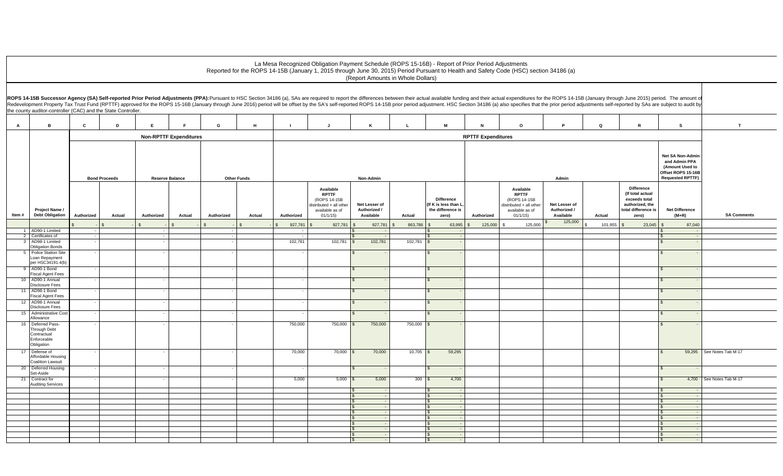## La Mesa Recognized Obligation Payment Schedule (ROPS 15-16B) - Report of Prior Period Adjustments Reported for the ROPS 14-15B (January 1, 2015 through June 30, 2015) Period Pursuant to Health and Safety Code (HSC) section 34186 (a) (Report Amounts in Whole Dollars)

|                | the county auditor-controller (CAC) and the State Controller.                 |              |                      |            |                               |            |                    |                          |                                                                                                    |                                            |              |      |                                                                         |                           | ROPS 14-15B Successor Agency (SA) Self-reported Prior Period Adjustments (PPA):Pursuant to HSC Section 34186 (a), SAs are required to report the differences between their actual available funding and their actual expenditu<br>Redevelopment Property Tax Trust Fund (RPTTF) approved for the ROPS 15-16B (January through June 2016) period will be offset by the SA's self-reported ROPS 14-15B prior period adjustment. HSC Section 34186 (a) also specifi |                                            |         |                                                                                                           |                                  |                           |
|----------------|-------------------------------------------------------------------------------|--------------|----------------------|------------|-------------------------------|------------|--------------------|--------------------------|----------------------------------------------------------------------------------------------------|--------------------------------------------|--------------|------|-------------------------------------------------------------------------|---------------------------|------------------------------------------------------------------------------------------------------------------------------------------------------------------------------------------------------------------------------------------------------------------------------------------------------------------------------------------------------------------------------------------------------------------------------------------------------------------|--------------------------------------------|---------|-----------------------------------------------------------------------------------------------------------|----------------------------------|---------------------------|
| $\overline{A}$ | B                                                                             | $\mathbf{c}$ | D                    | E.         | $\blacksquare$                | G          | H                  |                          | $\mathbf{J}$                                                                                       | K                                          | $\mathbf{L}$ |      | M                                                                       | N                         | $\circ$                                                                                                                                                                                                                                                                                                                                                                                                                                                          | Þ                                          | $\circ$ | $\mathbb{R}$                                                                                              | s.                               | T                         |
|                |                                                                               |              |                      |            | <b>Non-RPTTF Expenditures</b> |            |                    |                          |                                                                                                    |                                            |              |      |                                                                         | <b>RPTTF Expenditures</b> |                                                                                                                                                                                                                                                                                                                                                                                                                                                                  |                                            |         |                                                                                                           |                                  |                           |
|                |                                                                               |              | <b>Bond Proceeds</b> |            | <b>Reserve Balance</b>        |            | <b>Other Funds</b> |                          |                                                                                                    | Non-Admin                                  |              |      |                                                                         | Admin                     |                                                                                                                                                                                                                                                                                                                                                                                                                                                                  |                                            |         | Net SA Non-Admin<br>and Admin PPA<br>(Amount Used to<br>Offset ROPS 15-16B<br><b>Requested RPTTF)</b>     |                                  |                           |
| Item#          | Project Name /<br><b>Debt Obligation</b>                                      | Authorized   | Actual               | Authorized | Actual                        | Authorized | Actual             | Authorized               | Available<br><b>RPTTF</b><br>(ROPS 14-15B<br>distributed + all other<br>available as of<br>01/1/15 | Net Lesser of<br>Authorized /<br>Available | Actual       |      | <b>Difference</b><br>(If K is less than L<br>the difference is<br>zero) | Authorized                | Available<br><b>RPTTF</b><br>(ROPS 14-15B<br>distributed + all other<br>available as of<br>01/1/15                                                                                                                                                                                                                                                                                                                                                               | Net Lesser of<br>Authorized /<br>Available | Actual  | <b>Difference</b><br>(If total actual<br>exceeds total<br>authorized, the<br>total difference is<br>zero) | <b>Net Difference</b><br>$(M+R)$ | <b>SA Comments</b>        |
|                |                                                                               |              |                      |            |                               |            |                    | 927,781                  | 927,781                                                                                            | 927,781<br>$\mathfrak{S}$                  | 863,786      |      | 63,995                                                                  | 125,000                   | 125,000                                                                                                                                                                                                                                                                                                                                                                                                                                                          | 125,000                                    | 101,955 | 23,045                                                                                                    | 87,040                           |                           |
|                | 1 AD90-1 Limited<br>2 Certificates of                                         | $\sim$       |                      |            |                               |            |                    | $\overline{\phantom{a}}$ |                                                                                                    |                                            |              |      | - -                                                                     |                           |                                                                                                                                                                                                                                                                                                                                                                                                                                                                  |                                            |         |                                                                                                           |                                  |                           |
|                | 3 AD98-1 Limited<br><b>Obligation Bonds</b>                                   |              |                      |            |                               |            |                    | 102,781                  | $102,781$ \$                                                                                       | 102,781                                    | 102,781      |      |                                                                         |                           |                                                                                                                                                                                                                                                                                                                                                                                                                                                                  |                                            |         |                                                                                                           |                                  |                           |
|                | 5 Police Station Site                                                         |              |                      |            |                               |            |                    |                          |                                                                                                    |                                            |              |      |                                                                         |                           |                                                                                                                                                                                                                                                                                                                                                                                                                                                                  |                                            |         |                                                                                                           |                                  |                           |
|                | Loan Repayment<br>per HSC34191.4(b)                                           |              |                      |            |                               |            |                    |                          |                                                                                                    |                                            |              |      |                                                                         |                           |                                                                                                                                                                                                                                                                                                                                                                                                                                                                  |                                            |         |                                                                                                           |                                  |                           |
|                | 9 AD90-1 Bond<br><b>Fiscal Agent Fees</b>                                     |              |                      |            |                               |            |                    |                          |                                                                                                    |                                            |              |      |                                                                         |                           |                                                                                                                                                                                                                                                                                                                                                                                                                                                                  |                                            |         |                                                                                                           |                                  |                           |
|                | 10 AD90-1 Annual                                                              |              |                      |            |                               |            |                    |                          |                                                                                                    |                                            |              |      |                                                                         |                           |                                                                                                                                                                                                                                                                                                                                                                                                                                                                  |                                            |         |                                                                                                           |                                  |                           |
|                | Disclosure Fees<br>11 AD98-1 Bond                                             |              |                      |            |                               |            |                    |                          |                                                                                                    | $\mathbf{s}$                               |              |      |                                                                         |                           |                                                                                                                                                                                                                                                                                                                                                                                                                                                                  |                                            |         |                                                                                                           |                                  |                           |
|                | <b>Fiscal Agent Fees</b><br>12 AD98-1 Annual                                  |              |                      |            |                               |            |                    |                          |                                                                                                    |                                            |              |      |                                                                         |                           |                                                                                                                                                                                                                                                                                                                                                                                                                                                                  |                                            |         |                                                                                                           |                                  |                           |
| 15             | <b>Disclosure Fees</b><br>Administrative Cost                                 |              |                      |            |                               |            |                    |                          |                                                                                                    |                                            |              |      |                                                                         |                           |                                                                                                                                                                                                                                                                                                                                                                                                                                                                  |                                            |         |                                                                                                           |                                  |                           |
|                | Allowance                                                                     |              |                      |            |                               |            |                    |                          |                                                                                                    |                                            |              |      |                                                                         |                           |                                                                                                                                                                                                                                                                                                                                                                                                                                                                  |                                            |         |                                                                                                           |                                  |                           |
|                | 16 Deferred Pass-<br>Through Debt<br>Contractual<br>Enforceable<br>Obligation |              |                      |            |                               |            |                    | 750,000                  | $750,000$ \$                                                                                       | 750,000                                    | 750,000      |      |                                                                         |                           |                                                                                                                                                                                                                                                                                                                                                                                                                                                                  |                                            |         |                                                                                                           |                                  |                           |
|                | 17 Defense of<br>Affordable Housing<br>Coalition Lawsuit                      |              |                      |            |                               |            |                    | 70,000                   | $70,000$ \$                                                                                        | 70,000                                     | $10,705$ \$  |      | 59,295                                                                  |                           |                                                                                                                                                                                                                                                                                                                                                                                                                                                                  |                                            |         |                                                                                                           |                                  | 59,295 See Notes Tab M-17 |
|                | 20 Deferred Housing<br>Set-Aside                                              |              |                      |            |                               |            |                    |                          |                                                                                                    |                                            |              |      |                                                                         |                           |                                                                                                                                                                                                                                                                                                                                                                                                                                                                  |                                            |         |                                                                                                           |                                  |                           |
| 21             | Contract for<br><b>Auditing Services</b>                                      |              |                      |            |                               |            |                    | 5,000                    | $5,000$ \$                                                                                         | 5,000                                      |              | 300S | 4,700                                                                   |                           |                                                                                                                                                                                                                                                                                                                                                                                                                                                                  |                                            |         |                                                                                                           |                                  | 4,700 See Notes Tab M-17  |
|                |                                                                               |              |                      |            |                               |            |                    |                          |                                                                                                    | \$                                         |              |      |                                                                         |                           |                                                                                                                                                                                                                                                                                                                                                                                                                                                                  |                                            |         |                                                                                                           |                                  |                           |
|                |                                                                               |              |                      |            |                               |            |                    |                          |                                                                                                    | s.                                         |              |      |                                                                         |                           |                                                                                                                                                                                                                                                                                                                                                                                                                                                                  |                                            |         |                                                                                                           |                                  |                           |
|                |                                                                               |              |                      |            |                               |            |                    |                          |                                                                                                    |                                            |              |      |                                                                         |                           |                                                                                                                                                                                                                                                                                                                                                                                                                                                                  |                                            |         |                                                                                                           |                                  |                           |
|                |                                                                               |              |                      |            |                               |            |                    |                          |                                                                                                    |                                            |              |      | $\sim$                                                                  |                           |                                                                                                                                                                                                                                                                                                                                                                                                                                                                  |                                            |         |                                                                                                           |                                  |                           |
|                |                                                                               |              |                      |            |                               |            |                    |                          |                                                                                                    |                                            |              |      |                                                                         |                           |                                                                                                                                                                                                                                                                                                                                                                                                                                                                  |                                            |         |                                                                                                           |                                  |                           |
|                |                                                                               |              |                      |            |                               |            |                    |                          |                                                                                                    |                                            |              |      |                                                                         |                           |                                                                                                                                                                                                                                                                                                                                                                                                                                                                  |                                            |         |                                                                                                           |                                  |                           |
|                |                                                                               |              |                      |            |                               |            |                    |                          |                                                                                                    | \$                                         |              |      |                                                                         |                           |                                                                                                                                                                                                                                                                                                                                                                                                                                                                  |                                            |         |                                                                                                           |                                  |                           |
|                |                                                                               |              |                      |            |                               |            |                    |                          |                                                                                                    |                                            |              |      |                                                                         |                           |                                                                                                                                                                                                                                                                                                                                                                                                                                                                  |                                            |         |                                                                                                           |                                  |                           |